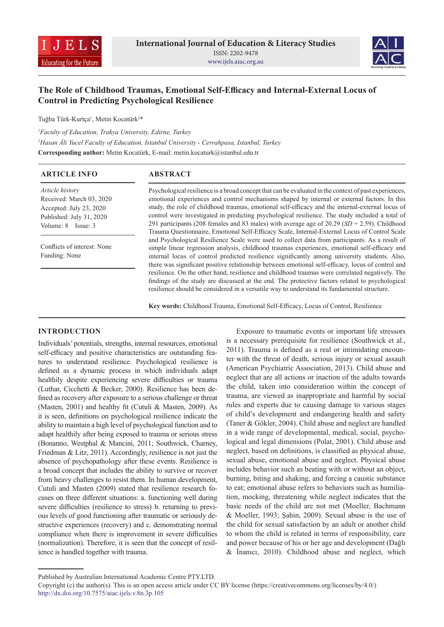



# **The Role of Childhood Traumas, Emotional Self-Efficacy and Internal-External Locus of Control in Predicting Psychological Resilience**

Tuğba Türk-Kurtça<sup>ı</sup>, Metin Kocatürk<sup>2\*</sup>

*1 Faculty of Education, Trakya University, Edirne, Turkey 2 Hasan Âli Yucel Faculty of Education, Istanbul University - Cerrahpasa, Istanbul, Turkey*

**Corresponding author:** Metin Kocatürk, E-mail: metin.kocaturk@istanbul.edu.tr

| <b>ABSTRACT</b>                                                                                                                                                                                                                                                                                                                                                                                                                                                                                                                                                                                                                                                                                            |  |  |  |  |
|------------------------------------------------------------------------------------------------------------------------------------------------------------------------------------------------------------------------------------------------------------------------------------------------------------------------------------------------------------------------------------------------------------------------------------------------------------------------------------------------------------------------------------------------------------------------------------------------------------------------------------------------------------------------------------------------------------|--|--|--|--|
| Psychological resilience is a broad concept that can be evaluated in the context of past experiences,<br>emotional experiences and control mechanisms shaped by internal or external factors. In this<br>study, the role of childhood traumas, emotional self-efficacy and the internal-external locus of<br>control were investigated in predicting psychological resilience. The study included a total of<br>291 participants (208 females and 83 males) with average age of 20.29 ( $SD = 2.59$ ). Childhood<br>Trauma Questionnaire, Emotional Self-Efficacy Scale, Internal-External Locus of Control Scale                                                                                          |  |  |  |  |
| and Psychological Resilience Scale were used to collect data from participants. As a result of<br>simple linear regression analysis, childhood traumas experiences, emotional self-efficacy and<br>internal locus of control predicted resilience significantly among university students. Also,<br>there was significant positive relationship between emotional self-efficacy, locus of control and<br>resilience. On the other hand, resilience and childhood traumas were correlated negatively. The<br>findings of the study are discussed at the end. The protective factors related to psychological<br>resilience should be considered in a versatile way to understand its fundamental structure. |  |  |  |  |
|                                                                                                                                                                                                                                                                                                                                                                                                                                                                                                                                                                                                                                                                                                            |  |  |  |  |

**Key words:** Childhood Trauma, Emotional Self-Efficacy, Locus of Control, Resilience

#### **INTRODUCTION**

Individuals' potentials, strengths, internal resources, emotional self-efficacy and positive characteristics are outstanding features to understand resilience. Psychological resilience is defined as a dynamic process in which individuals adapt healthily despite experiencing severe difficulties or trauma (Luthar, Cicchetti & Becker, 2000). Resilience has been defined as recovery after exposure to a serious challenge or threat (Masten, 2001) and healthy fit (Cutuli & Masten, 2009). As it is seen, definitions on psychological resilience indicate the ability to maintain a high level of psychological function and to adapt healthily after being exposed to trauma or serious stress (Bonanno, Westphal & Mancini, 2011; Southwick, Charney, Friedman & Litz, 2011). Accordingly, resilience is not just the absence of psychopathology after these events. Resilience is a broad concept that includes the ability to survive or recover from heavy challenges to resist them. In human development, Cutuli and Masten (2009) stated that resilience research focuses on three different situations: a. functioning well during severe difficulties (resilience to stress) b. returning to previous levels of good functioning after traumatic or seriously destructive experiences (recovery) and c. demonstrating normal compliance when there is improvement in severe difficulties (normalization). Therefore, it is seen that the concept of resilience is handled together with trauma.

Exposure to traumatic events or important life stressors is a necessary prerequisite for resilience (Southwick et al., 2011). Trauma is defined as a real or intimidating encounter with the threat of death, serious injury or sexual assault (American Psychiatric Association, 2013). Child abuse and neglect that are all actions or inaction of the adults towards the child, taken into consideration within the concept of trauma, are viewed as inappropriate and harmful by social rules and experts due to causing damage to various stages of child's development and endangering health and safety (Taner & Gökler, 2004). Child abuse and neglect are handled in a wide range of developmental, medical, social, psychological and legal dimensions (Polat, 2001). Child abuse and neglect, based on definitions, is classified as physical abuse, sexual abuse, emotional abuse and neglect. Physical abuse includes behavior such as beating with or without an object, burning, biting and shaking, and forcing a caustic substance to eat; emotional abuse refers to behaviors such as humiliation, mocking, threatening while neglect indicates that the basic needs of the child are not met (Moeller, Bachmann & Moeller, 1993; Şahin, 2009). Sexual abuse is the use of the child for sexual satisfaction by an adult or another child to whom the child is related in terms of responsibility, care and power because of his or her age and development (Dağlı & İnanıcı, 2010). Childhood abuse and neglect, which

Published by Australian International Academic Centre PTY.LTD.

Copyright (c) the author(s). This is an open access article under CC BY license (https://creativecommons.org/licenses/by/4.0/) http://dx.doi.org/10.7575/aiac.ijels.v.8n.3p.105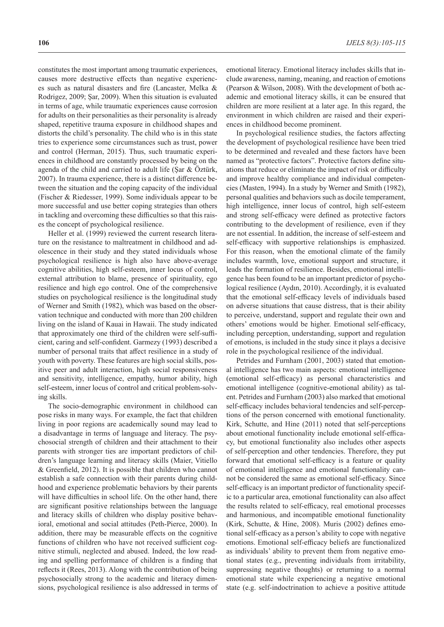constitutes the most important among traumatic experiences, causes more destructive effects than negative experiences such as natural disasters and fire (Lancaster, Melka & Rodrigez, 2009; Şar, 2009). When this situation is evaluated in terms of age, while traumatic experiences cause corrosion for adults on their personalities as their personality is already shaped, repetitive trauma exposure in childhood shapes and distorts the child's personality. The child who is in this state tries to experience some circumstances such as trust, power and control (Herman, 2015). Thus, such traumatic experiences in childhood are constantly processed by being on the agenda of the child and carried to adult life (Şar & Öztürk, 2007). In trauma experience, there is a distinct difference between the situation and the coping capacity of the individual (Fischer & Riedesser, 1999). Some individuals appear to be more successful and use better coping strategies than others in tackling and overcoming these difficulties so that this raises the concept of psychological resilience.

Heller et al. (1999) reviewed the current research literature on the resistance to maltreatment in childhood and adolescence in their study and they stated individuals whose psychological resilience is high also have above-average cognitive abilities, high self-esteem, inner locus of control, external attribution to blame, presence of spirituality, ego resilience and high ego control. One of the comprehensive studies on psychological resilience is the longitudinal study of Werner and Smith (1982), which was based on the observation technique and conducted with more than 200 children living on the island of Kauai in Hawaii. The study indicated that approximately one third of the children were self-sufficient, caring and self-confident. Garmezy (1993) described a number of personal traits that affect resilience in a study of youth with poverty. These features are high social skills, positive peer and adult interaction, high social responsiveness and sensitivity, intelligence, empathy, humor ability, high self-esteem, inner locus of control and critical problem-solving skills.

The socio-demographic environment in childhood can pose risks in many ways. For example, the fact that children living in poor regions are academically sound may lead to a disadvantage in terms of language and literacy. The psychosocial strength of children and their attachment to their parents with stronger ties are important predictors of children's language learning and literacy skills (Maier, Vitiello & Greenfield, 2012). It is possible that children who cannot establish a safe connection with their parents during childhood and experience problematic behaviors by their parents will have difficulties in school life. On the other hand, there are significant positive relationships between the language and literacy skills of children who display positive behavioral, emotional and social attitudes (Peth-Pierce, 2000). In addition, there may be measurable effects on the cognitive functions of children who have not received sufficient cognitive stimuli, neglected and abused. Indeed, the low reading and spelling performance of children is a finding that reflects it (Rees, 2013). Along with the contribution of being psychosocially strong to the academic and literacy dimensions, psychological resilience is also addressed in terms of emotional literacy. Emotional literacy includes skills that include awareness, naming, meaning, and reaction of emotions (Pearson & Wilson, 2008). With the development of both academic and emotional literacy skills, it can be ensured that children are more resilient at a later age. In this regard, the environment in which children are raised and their experiences in childhood become prominent.

In psychological resilience studies, the factors affecting the development of psychological resilience have been tried to be determined and revealed and these factors have been named as "protective factors". Protective factors define situations that reduce or eliminate the impact of risk or difficulty and improve healthy compliance and individual competencies (Masten, 1994). In a study by Werner and Smith (1982), personal qualities and behaviors such as docile temperament, high intelligence, inner locus of control, high self-esteem and strong self-efficacy were defined as protective factors contributing to the development of resilience, even if they are not essential. In addition, the increase of self-esteem and self-efficacy with supportive relationships is emphasized. For this reason, when the emotional climate of the family includes warmth, love, emotional support and structure, it leads the formation of resilience. Besides, emotional intelligence has been found to be an important predictor of psychological resilience (Aydın, 2010). Accordingly, it is evaluated that the emotional self-efficacy levels of individuals based on adverse situations that cause distress, that is their ability to perceive, understand, support and regulate their own and others' emotions would be higher. Emotional self-efficacy, including perception, understanding, support and regulation of emotions, is included in the study since it plays a decisive role in the psychological resilience of the individual.

Petrides and Furnham (2001, 2003) stated that emotional intelligence has two main aspects: emotional intelligence (emotional self-efficacy) as personal characteristics and emotional intelligence (cognitive-emotional ability) as talent. Petrides and Furnham (2003) also marked that emotional self-efficacy includes behavioral tendencies and self-perceptions of the person concerned with emotional functionality. Kirk, Schutte, and Hine (2011) noted that self-perceptions about emotional functionality include emotional self-efficacy, but emotional functionality also includes other aspects of self-perception and other tendencies. Therefore, they put forward that emotional self-efficacy is a feature or quality of emotional intelligence and emotional functionality cannot be considered the same as emotional self-efficacy. Since self-efficacy is an important predictor of functionality specific to a particular area, emotional functionality can also affect the results related to self-efficacy, real emotional processes and harmonious, and incompatible emotional functionality (Kirk, Schutte, & Hine, 2008). Muris (2002) defines emotional self-efficacy as a person's ability to cope with negative emotions. Emotional self-efficacy beliefs are functionalized as individuals' ability to prevent them from negative emotional states (e.g., preventing individuals from irritability, suppressing negative thoughts) or returning to a normal emotional state while experiencing a negative emotional state (e.g. self-indoctrination to achieve a positive attitude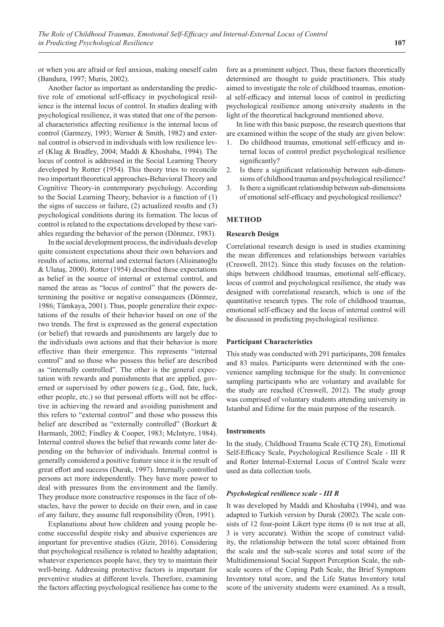or when you are afraid or feel anxious, making oneself calm (Bandura, 1997; Muris, 2002).

Another factor as important as understanding the predictive role of emotional self-efficacy in psychological resilience is the internal locus of control. In studies dealing with psychological resilience, it was stated that one of the personal characteristics affecting resilience is the internal locus of control (Garmezy, 1993; Werner & Smith, 1982) and external control is observed in individuals with low resilience level (Klag & Bradley, 2004; Maddi & Khoshaba, 1994). The locus of control is addressed in the Social Learning Theory developed by Rotter (1954). This theory tries to reconcile two important theoretical approaches-Behavioral Theory and Cognitive Theory-in contemporary psychology. According to the Social Learning Theory, behavior is a function of (1) the signs of success or failure, (2) actualized results and (3) psychological conditions during its formation. The locus of control is related to the expectations developed by these variables regarding the behavior of the person (Dönmez, 1983).

In the social development process, the individuals develop quite consistent expectations about their own behaviors and results of actions, internal and external factors (Alisinanoğlu & Ulutaş, 2000). Rotter (1954) described these expectations as belief in the source of internal or external control, and named the areas as "locus of control" that the powers determining the positive or negative consequences (Dönmez, 1986; Tümkaya, 2001). Thus, people generalize their expectations of the results of their behavior based on one of the two trends. The first is expressed as the general expectation (or belief) that rewards and punishments are largely due to the individuals own actions and that their behavior is more effective than their emergence. This represents "internal control" and so those who possess this belief are described as "internally controlled". The other is the general expectation with rewards and punishments that are applied, governed or supervised by other powers (e.g., God, fate, luck, other people, etc.) so that personal efforts will not be effective in achieving the reward and avoiding punishment and this refers to "external control" and those who possess this belief are described as "externally controlled" (Bozkurt & Harmanlı, 2002; Findley & Cooper, 1983; McIntyre, 1984). Internal control shows the belief that rewards come later depending on the behavior of individuals. Internal control is generally considered a positive feature since it is the result of great effort and success (Durak, 1997). Internally controlled persons act more independently. They have more power to deal with pressures from the environment and the family. They produce more constructive responses in the face of obstacles, have the power to decide on their own, and in case of any failure, they assume full responsibility (Ören, 1991).

Explanations about how children and young people become successful despite risky and abusive experiences are important for preventive studies (Gizir, 2016). Considering that psychological resilience is related to healthy adaptation; whatever experiences people have, they try to maintain their well-being. Addressing protective factors is important for preventive studies at different levels. Therefore, examining the factors affecting psychological resilience has come to the fore as a prominent subject. Thus, these factors theoretically determined are thought to guide practitioners. This study aimed to investigate the role of childhood traumas, emotional self-efficacy and internal locus of control in predicting psychological resilience among university students in the light of the theoretical background mentioned above.

In line with this basic purpose, the research questions that are examined within the scope of the study are given below:

- 1. Do childhood traumas, emotional self-efficacy and internal locus of control predict psychological resilience significantly?
- 2. Is there a significant relationship between sub-dimensions of childhood traumas and psychological resilience?
- 3. Is there a significant relationship between sub-dimensions of emotional self-efficacy and psychological resilience?

#### **METHOD**

## **Research Design**

Correlational research design is used in studies examining the mean differences and relationships between variables (Creswell, 2012). Since this study focuses on the relationships between childhood traumas, emotional self-efficacy, locus of control and psychological resilience, the study was designed with correlational research, which is one of the quantitative research types. The role of childhood traumas, emotional self-efficacy and the locus of internal control will be discussed in predicting psychological resilience.

#### **Participant Characteristics**

This study was conducted with 291 participants, 208 females and 83 males. Participants were determined with the convenience sampling technique for the study. In convenience sampling participants who are voluntary and available for the study are reached (Creswell, 2012). The study group was comprised of voluntary students attending university in Istanbul and Edirne for the main purpose of the research.

#### **Instruments**

In the study, Childhood Trauma Scale (CTQ 28), Emotional Self-Efficacy Scale, Psychological Resilience Scale - III R and Rotter Internal-External Locus of Control Scale were used as data collection tools.

## *Psychological resilience scale - III R*

It was developed by Maddi and Khoshaba (1994), and was adapted to Turkish version by Durak (2002). The scale consists of 12 four-point Likert type items (0 is not true at all, 3 is very accurate). Within the scope of construct validity, the relationship between the total score obtained from the scale and the sub-scale scores and total score of the Multidimensional Social Support Perception Scale, the subscale scores of the Coping Path Scale, the Brief Symptom Inventory total score, and the Life Status Inventory total score of the university students were examined. As a result,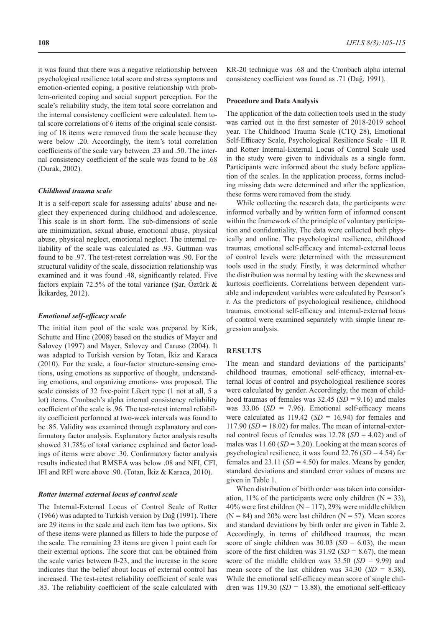it was found that there was a negative relationship between psychological resilience total score and stress symptoms and emotion-oriented coping, a positive relationship with problem-oriented coping and social support perception. For the scale's reliability study, the item total score correlation and the internal consistency coefficient were calculated. Item total score correlations of 6 items of the original scale consisting of 18 items were removed from the scale because they were below .20. Accordingly, the item's total correlation coefficients of the scale vary between .23 and .50. The internal consistency coefficient of the scale was found to be .68 (Durak, 2002).

#### *Childhood trauma scale*

It is a self-report scale for assessing adults' abuse and neglect they experienced during childhood and adolescence. This scale is in short form. The sub-dimensions of scale are minimization, sexual abuse, emotional abuse, physical abuse, physical neglect, emotional neglect. The internal reliability of the scale was calculated as .93. Guttman was found to be .97. The test-retest correlation was .90. For the structural validity of the scale, dissociation relationship was examined and it was found .48, significantly related. Five factors explain 72.5% of the total variance (Şar, Öztürk & İkikardeş, 2012).

#### *Emotional self-efficacy scale*

The initial item pool of the scale was prepared by Kirk, Schutte and Hine (2008) based on the studies of Mayer and Salovey (1997) and Mayer, Salovey and Caruso (2004). It was adapted to Turkish version by Totan, İkiz and Karaca (2010). For the scale, a four-factor structure-sensing emotions, using emotions as supportive of thought, understanding emotions, and organizing emotions- was proposed. The scale consists of 32 five-point Likert type (1 not at all, 5 a lot) items. Cronbach's alpha internal consistency reliability coefficient of the scale is .96. The test-retest internal reliability coefficient performed at two-week intervals was found to be .85. Validity was examined through explanatory and confirmatory factor analysis. Explanatory factor analysis results showed 31.78% of total variance explained and factor loadings of items were above .30. Confirmatory factor analysis results indicated that RMSEA was below .08 and NFI, CFI, IFI and RFI were above .90. (Totan, İkiz & Karaca, 2010).

#### *Rotter internal external locus of control scale*

The Internal-External Locus of Control Scale of Rotter (1966) was adapted to Turkish version by Dağ (1991). There are 29 items in the scale and each item has two options. Six of these items were planned as fillers to hide the purpose of the scale. The remaining 23 items are given 1 point each for their external options. The score that can be obtained from the scale varies between 0-23, and the increase in the score indicates that the belief about locus of external control has increased. The test-retest reliability coefficient of scale was .83. The reliability coefficient of the scale calculated with

KR-20 technique was .68 and the Cronbach alpha internal consistency coefficient was found as .71 (Dağ, 1991).

#### **Procedure and Data Analysis**

The application of the data collection tools used in the study was carried out in the first semester of 2018-2019 school year. The Childhood Trauma Scale (CTQ 28), Emotional Self-Efficacy Scale, Psychological Resilience Scale - III R and Rotter Internal-External Locus of Control Scale used in the study were given to individuals as a single form. Participants were informed about the study before application of the scales. In the application process, forms including missing data were determined and after the application, these forms were removed from the study.

While collecting the research data, the participants were informed verbally and by written form of informed consent within the framework of the principle of voluntary participation and confidentiality. The data were collected both physically and online. The psychological resilience, childhood traumas, emotional self-efficacy and internal-external locus of control levels were determined with the measurement tools used in the study. Firstly, it was determined whether the distribution was normal by testing with the skewness and kurtosis coefficients. Correlations between dependent variable and independent variables were calculated by Pearson's r. As the predictors of psychological resilience, childhood traumas, emotional self-efficacy and internal-external locus of control were examined separately with simple linear regression analysis.

#### **RESULTS**

The mean and standard deviations of the participants' childhood traumas, emotional self-efficacy, internal-external locus of control and psychological resilience scores were calculated by gender. Accordingly, the mean of childhood traumas of females was 32.45 (*SD* = 9.16) and males was 33.06 (*SD* = 7.96). Emotional self-efficacy means were calculated as 119.42 (*SD* = 16.94) for females and  $117.90$  (*SD* = 18.02) for males. The mean of internal-external control focus of females was 12.78 (*SD* = 4.02) and of males was 11.60 (*SD* = 3.20). Looking at the mean scores of psychological resilience, it was found 22.76 (*SD* = 4.54) for females and  $23.11$  (*SD* = 4.50) for males. Means by gender, standard deviations and standard error values of means are given in Table 1.

When distribution of birth order was taken into consideration, 11% of the participants were only children  $(N = 33)$ , 40% were first children ( $N = 117$ ), 29% were middle children  $(N = 84)$  and 20% were last children  $(N = 57)$ . Mean scores and standard deviations by birth order are given in Table 2. Accordingly, in terms of childhood traumas, the mean score of single children was  $30.03$  (*SD* = 6.03), the mean score of the first children was  $31.92$  (*SD* = 8.67), the mean score of the middle children was 33.50 (*SD* = 9.99) and mean score of the last children was 34.30 (*SD* = 8.38). While the emotional self-efficacy mean score of single children was  $119.30$  (*SD* = 13.88), the emotional self-efficacy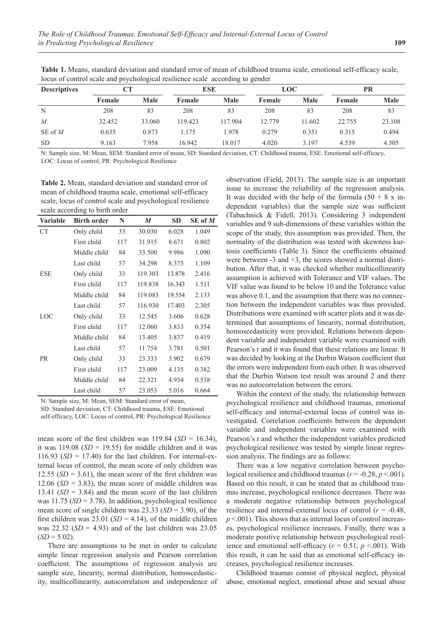| <b>Descriptives</b> | CТ     |        | <b>ESE</b> |         | <b>LOC</b> |        | PR     |             |  |
|---------------------|--------|--------|------------|---------|------------|--------|--------|-------------|--|
|                     | Female | Male   | Female     | Male    | Female     | Male   | Female | <b>Male</b> |  |
| N                   | 208    | 83     | 208        | 83      | 208        | 83     | 208    | 83          |  |
| $\boldsymbol{M}$    | 32.452 | 33.060 | 119.423    | 117.904 | 12.779     | 11.602 | 22.755 | 23.108      |  |
| SE of M             | 0.635  | 0.873  | 1.175      | 1.978   | 0.279      | 0.351  | 0.315  | 0.494       |  |
| <b>SD</b>           | 9.163  | 7.958  | 16.942     | 18.017  | 4.020      | 3.197  | 4.539  | 4.505       |  |

**Table 1.** Means, standard deviation and standard error of mean of childhood trauma scale, emotional self-efficacy scale, locus of control scale and psychological resilience scale according to gender

N: Sample size, M: Mean, SEM: Standard error of mean, SD: Standard deviation, CT: Childhood trauma, ESE: Emotional self-efficacy, LOC: Locus of control, PR: Psychological Resilience

**Table 2.** Mean, standard deviation and standard error of mean of childhood trauma scale, emotional self-efficacy scale, locus of control scale and psychological resilience scale according to birth order

| <b>Variable</b> | <b>Birth order</b> | N   | M       | <b>SD</b> | SE of $M$ |
|-----------------|--------------------|-----|---------|-----------|-----------|
| <b>CT</b>       | Only child         | 33  | 30.030  | 6.028     | 1.049     |
|                 | First child        | 117 | 31.915  | 8.671     | 0.802     |
|                 | Middle child       | 84  | 33.500  | 9.986     | 1.090     |
|                 | Last child         | 57  | 34.298  | 8.375     | 1.109     |
| <b>ESE</b>      | Only child         | 33  | 119.303 | 13.878    | 2.416     |
|                 | First child        | 117 | 119.838 | 16.343    | 1.511     |
|                 | Middle child       | 84  | 119.083 | 19.554    | 2.133     |
|                 | Last child         | 57  | 116.930 | 17.403    | 2.305     |
| LOC             | Only child         | 33  | 12.545  | 3.606     | 0.628     |
|                 | First child        | 117 | 12.060  | 3.833     | 0.354     |
|                 | Middle child       | 84  | 13.405  | 3.837     | 0.419     |
|                 | Last child         | 57  | 11.754  | 3.781     | 0.501     |
| <b>PR</b>       | Only child         | 33  | 23.333  | 3.902     | 0.679     |
|                 | First child        | 117 | 23.009  | 4.135     | 0.382     |
|                 | Middle child       | 84  | 22.321  | 4.934     | 0.538     |
|                 | Last child         | 57  | 23.053  | 5.016     | 0.664     |

N: Sample size, M: Mean, SEM: Standard error of mean,

SD: Standard deviation, CT: Childhood trauma, ESE: Emotional self-efficacy, LOC: Locus of control, PR: Psychological Resilience

mean score of the first children was  $119.84$  (*SD* = 16.34), it was  $119.08$  ( $SD = 19.55$ ) for middle children and it was 116.93  $(SD = 17.40)$  for the last children. For internal-external locus of control, the mean score of only children was 12.55  $(SD = 3.61)$ , the mean score of the first children was 12.06 ( $SD = 3.83$ ), the mean score of middle children was 13.41  $(SD = 3.84)$  and the mean score of the last children was 11.75 (*SD* = 3.78). In addition, psychological resilience mean score of single children was 23.33 (*SD* = 3.90), of the first children was  $23.01$  (*SD* = 4.14), of the middle children was 22.32 (*SD* = 4.93) and of the last children was 23.05  $(SD = 5.02)$ .

There are assumptions to be met in order to calculate simple linear regression analysis and Pearson correlation coefficient. The assumptions of regression analysis are sample size, linearity, normal distribution, homoscedasticity, multicollinearity, autocorrelation and independence of observation (Field, 2013). The sample size is an important issue to increase the reliability of the regression analysis. It was decided with the help of the formula  $(50 + 8 \text{ x in}$ dependent variables) that the sample size was sufficient (Tabachnick & Fidell, 2013). Considering 3 independent variables and 9 sub-dimensions of these variables within the scope of the study, this assumption was provided. Then, the normality of the distribution was tested with skewness kurtosis coefficients (Table 3). Since the coefficients obtained were between -3 and +3, the scores showed a normal distribution. After that, it was checked whether multicollinearity assumption is achieved with Tolerance and VIF values. The VIF value was found to be below 10 and the Tolerance value was above 0.1, and the assumption that there was no connection between the independent variables was thus provided. Distributions were examined with scatter plots and it was determined that assumptions of linearity, normal distribution, homoscedasticity were provided. Relations between dependent variable and independent variable were examined with Pearson's r and it was found that these relations are linear. It was decided by looking at the Durbin Watson coefficient that the errors were independent from each other. It was observed that the Durbin Watson test result was around 2 and there was no autocorrelation between the errors.

Within the context of the study, the relationship between psychological resilience and childhood traumas, emotional self-efficacy and internal-external locus of control was investigated. Correlation coefficients between the dependent variable and independent variables were examined with Pearson's r and whether the independent variables predicted psychological resilience was tested by simple linear regression analysis. The findings are as follows:

There was a low negative correlation between psychological resilience and childhood traumas ( $r = -0.28$ ,  $p < .001$ ). Based on this result, it can be stated that as childhood traumas increase, psychological resilience decreases. There was a moderate negative relationship between psychological resilience and internal-external locus of control  $(r = -0.48,$  $p$  <.001). This shows that as internal locus of control increases, psychological resilience increases. Finally, there was a moderate positive relationship between psychological resilience and emotional self-efficacy  $(r = 0.51, p \le 0.01)$ . With this result, it can be said that as emotional self-efficacy increases, psychological resilience increases.

Childhood traumas consist of physical neglect, physical abuse, emotional neglect, emotional abuse and sexual abuse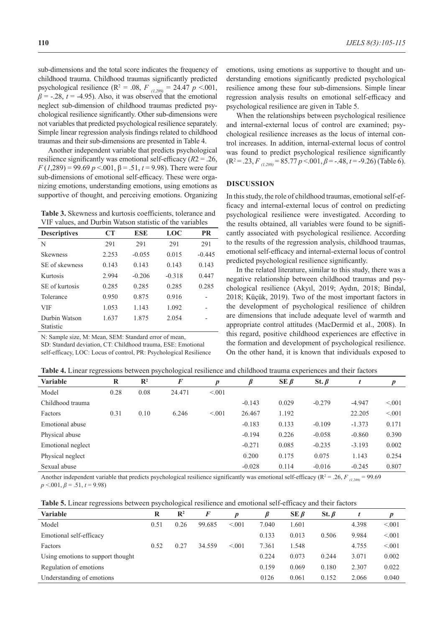sub-dimensions and the total score indicates the frequency of childhood trauma. Childhood traumas significantly predicted psychological resilience ( $\mathbb{R}^2 = .08$ ,  $F_{(1,289)} = 24.47$   $p < .001$ ,  $\beta$  = -.28, *t* = -4.95). Also, it was observed that the emotional neglect sub-dimension of childhood traumas predicted psychological resilience significantly. Other sub-dimensions were not variables that predicted psychological resilience separately. Simple linear regression analysis findings related to childhood traumas and their sub-dimensions are presented in Table 4.

Another independent variable that predicts psychological resilience significantly was emotional self-efficacy (*R*2 = .26, *F* (*1*,289) = 99.69 *p* <.001, β = .51, *t* = 9.98). There were four sub-dimensions of emotional self-efficacy. These were organizing emotions, understanding emotions, using emotions as supportive of thought, and perceiving emotions. Organizing

**Table 3.** Skewness and kurtosis coefficients, tolerance and VIF values, and Durbin Watson statistic of the variables

| <b>Descriptives</b>        | CT    | <b>ESE</b> | LOC      | <b>PR</b> |
|----------------------------|-------|------------|----------|-----------|
| N                          | 291   | 291        | 291      | 291       |
| <b>Skewness</b>            | 2.253 | $-0.055$   | 0.015    | $-0.445$  |
| SE of skewness             | 0.143 | 0.143      | 0.143    | 0.143     |
| Kurtosis                   | 2.994 | $-0.206$   | $-0.318$ | 0.447     |
| SE of kurtosis             | 0.285 | 0.285      | 0.285    | 0.285     |
| Tolerance                  | 0.950 | 0.875      | 0.916    |           |
| VIF                        | 1.053 | 1.143      | 1.092    |           |
| Durbin Watson<br>Statistic | 1.637 | 1.875      | 2.054    |           |

N: Sample size, M: Mean, SEM: Standard error of mean,

SD: Standard deviation, CT: Childhood trauma, ESE: Emotional self-efficacy, LOC: Locus of control, PR: Psychological Resilience emotions, using emotions as supportive to thought and understanding emotions significantly predicted psychological resilience among these four sub-dimensions. Simple linear regression analysis results on emotional self-efficacy and psychological resilience are given in Table 5.

When the relationships between psychological resilience and internal-external locus of control are examined; psychological resilience increases as the locus of internal control increases. In addition, internal-external locus of control was found to predict psychological resilience significantly (R2 = .23, *F (1,289)* = 85.77 *p* <.001, *β* = -.48, *t* = -9.26) (Table 6).

# **DISCUSSION**

In this study, the role of childhood traumas, emotional self-efficacy and internal-external locus of control on predicting psychological resilience were investigated. According to the results obtained, all variables were found to be significantly associated with psychological resilience. According to the results of the regression analysis, childhood traumas, emotional self-efficacy and internal-external locus of control predicted psychological resilience significantly.

In the related literature, similar to this study, there was a negative relationship between childhood traumas and psychological resilience (Akyıl, 2019; Aydın, 2018; Bindal, 2018; Küçük, 2019). Two of the most important factors in the development of psychological resilience of children are dimensions that include adequate level of warmth and appropriate control attitudes (MacDermid et al., 2008). In this regard, positive childhood experiences are effective in the formation and development of psychological resilience. On the other hand, it is known that individuals exposed to

**Table 4.** Linear regressions between psychological resilience and childhood trauma experiences and their factors

| $\tilde{\phantom{a}}$ |      | . .<br>$\overline{\phantom{a}}$ | $\tilde{}$ |        |          |              |             |          |        |
|-----------------------|------|---------------------------------|------------|--------|----------|--------------|-------------|----------|--------|
| Variable              | R    | $\mathbb{R}^2$                  | $\bm{F}$   | D      |          | $SE$ $\beta$ | St. $\beta$ |          | p      |
| Model                 | 0.28 | 0.08                            | 24.471     | < 0.01 |          |              |             |          |        |
| Childhood trauma      |      |                                 |            |        | $-0.143$ | 0.029        | $-0.279$    | $-4.947$ | < 0.01 |
| Factors               | 0.31 | 0.10                            | 6.246      | < 0.01 | 26.467   | 1.192        |             | 22.205   | < 0.01 |
| Emotional abuse       |      |                                 |            |        | $-0.183$ | 0.133        | $-0.109$    | $-1.373$ | 0.171  |
| Physical abuse        |      |                                 |            |        | $-0.194$ | 0.226        | $-0.058$    | $-0.860$ | 0.390  |
| Emotional neglect     |      |                                 |            |        | $-0.271$ | 0.085        | $-0.235$    | $-3.193$ | 0.002  |
| Physical neglect      |      |                                 |            |        | 0.200    | 0.175        | 0.075       | 1.143    | 0.254  |
| Sexual abuse          |      |                                 |            |        | $-0.028$ | 0.114        | $-0.016$    | $-0.245$ | 0.807  |
|                       |      |                                 |            |        |          |              |             |          |        |

Another independent variable that predicts psychological resilience significantly was emotional self-efficacy ( $R^2 = .26$ ,  $F_{(1,289)} = 99.69$ ) *p* <.001, *β* = .51, *t* = 9.98)

| <b>Table 5.</b> Linear regressions between psychological resilience and emotional self-efficacy and their factors |  |  |  |  |  |  |
|-------------------------------------------------------------------------------------------------------------------|--|--|--|--|--|--|
|-------------------------------------------------------------------------------------------------------------------|--|--|--|--|--|--|

| <b>Variable</b>                   | R    | $\mathbb{R}^2$ | F      |        |       | $SE$ $\beta$ | St. $\beta$ |       |        |
|-----------------------------------|------|----------------|--------|--------|-------|--------------|-------------|-------|--------|
| Model                             | 0.51 | 0.26           | 99.685 | < 0.01 | 7.040 | 1.601        |             | 4.398 | < 0.01 |
| Emotional self-efficacy           |      |                |        |        | 0.133 | 0.013        | 0.506       | 9.984 | < 0.01 |
| Factors                           | 0.52 | 0.27           | 34.559 | < 0.01 | 7.361 | 1.548        |             | 4.755 | < 0.01 |
| Using emotions to support thought |      |                |        |        | 0.224 | 0.073        | 0.244       | 3.071 | 0.002  |
| Regulation of emotions            |      |                |        |        | 0.159 | 0.069        | 0.180       | 2.307 | 0.022  |
| Understanding of emotions         |      |                |        |        | 0126  | 0.061        | 0.152       | 2.066 | 0.040  |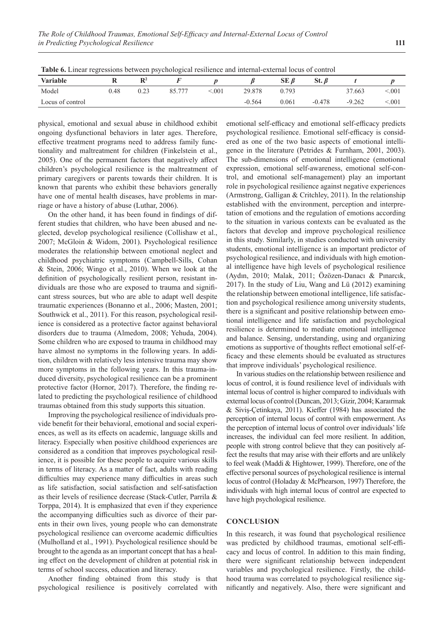| .                |      |                |        |                 |          |                        |             |          |                |
|------------------|------|----------------|--------|-----------------|----------|------------------------|-------------|----------|----------------|
| <b>Variable</b>  |      | D <sub>2</sub> |        |                 |          | SE<br>$\mathbf{\beta}$ | St. $\beta$ |          |                |
| Model            | 0.48 | 0.23           | 85.777 | $\epsilon$ .001 | 29.878   | 0.793                  |             | 37.663   | 0.001          |
| Locus of control |      |                |        |                 | $-0.564$ | 0.061                  | $-0.478$    | $-9.262$ | $\lesssim 001$ |

**Table 6.** Linear regressions between psychological resilience and internal-external locus of control

physical, emotional and sexual abuse in childhood exhibit ongoing dysfunctional behaviors in later ages. Therefore, effective treatment programs need to address family functionality and maltreatment for children (Finkelstein et al., 2005). One of the permanent factors that negatively affect children's psychological resilience is the maltreatment of primary caregivers or parents towards their children. It is known that parents who exhibit these behaviors generally have one of mental health diseases, have problems in marriage or have a history of abuse (Luthar, 2006).

On the other hand, it has been found in findings of different studies that children, who have been abused and neglected, develop psychological resilience (Collishaw et al., 2007; McGloin & Widom, 2001). Psychological resilience moderates the relationship between emotional neglect and childhood psychiatric symptoms (Campbell-Sills, Cohan & Stein, 2006; Wingo et al., 2010). When we look at the definition of psychologically resilient person, resistant individuals are those who are exposed to trauma and significant stress sources, but who are able to adapt well despite traumatic experiences (Bonanno et al., 2006; Masten, 2001; Southwick et al., 2011). For this reason, psychological resilience is considered as a protective factor against behavioral disorders due to trauma (Almedom, 2008; Yehuda, 2004). Some children who are exposed to trauma in childhood may have almost no symptoms in the following years. In addition, children with relatively less intensive trauma may show more symptoms in the following years. In this trauma-induced diversity, psychological resilience can be a prominent protective factor (Hornor, 2017). Therefore, the finding related to predicting the psychological resilience of childhood traumas obtained from this study supports this situation.

Improving the psychological resilience of individuals provide benefit for their behavioral, emotional and social experiences, as well as its effects on academic, language skills and literacy. Especially when positive childhood experiences are considered as a condition that improves psychological resilience, it is possible for these people to acquire various skills in terms of literacy. As a matter of fact, adults with reading difficulties may experience many difficulties in areas such as life satisfaction, social satisfaction and self-satisfaction as their levels of resilience decrease (Stack-Cutler, Parrila & Torppa, 2014). It is emphasized that even if they experience the accompanying difficulties such as divorce of their parents in their own lives, young people who can demonstrate psychological resilience can overcome academic difficulties (Mulholland et al., 1991). Psychological resilience should be brought to the agenda as an important concept that has a healing effect on the development of children at potential risk in terms of school success, education and literacy.

Another finding obtained from this study is that psychological resilience is positively correlated with emotional self-efficacy and emotional self-efficacy predicts psychological resilience. Emotional self-efficacy is considered as one of the two basic aspects of emotional intelligence in the literature (Petrides & Furnham, 2001, 2003). The sub-dimensions of emotional intelligence (emotional expression, emotional self-awareness, emotional self-control, and emotional self-management) play an important role in psychological resilience against negative experiences (Armstrong, Galligan & Critchley, 2011). In the relationship established with the environment, perception and interpretation of emotions and the regulation of emotions according to the situation in various contexts can be evaluated as the factors that develop and improve psychological resilience in this study. Similarly, in studies conducted with university students, emotional intelligence is an important predictor of psychological resilience, and individuals with high emotional intelligence have high levels of psychological resilience (Aydın, 2010; Malak, 2011; Özözen-Danacı & Pınarcık, 2017). In the study of Liu, Wang and Lü (2012) examining the relationship between emotional intelligence, life satisfaction and psychological resilience among university students, there is a significant and positive relationship between emotional intelligence and life satisfaction and psychological resilience is determined to mediate emotional intelligence and balance. Sensing, understanding, using and organizing emotions as supportive of thoughts reflect emotional self-efficacy and these elements should be evaluated as structures that improve individuals' psychological resilience.

In various studies on the relationship between resilience and locus of control, it is found resilience level of individuals with internal locus of control is higher compared to individuals with external locus of control (Duncan, 2013; Gizir, 2004; Karaırmak & Siviş-Çetinkaya, 2011). Kieffer (1984) has associated the perception of internal locus of control with empowerment. As the perception of internal locus of control over individuals' life increases, the individual can feel more resilient. In addition, people with strong control believe that they can positively affect the results that may arise with their efforts and are unlikely to feel weak (Maddi & Hightower, 1999). Therefore, one of the effective personal sources of psychological resilience is internal locus of control (Holaday & McPhearson, 1997) Therefore, the individuals with high internal locus of control are expected to have high psychological resilience.

#### **CONCLUSION**

In this research, it was found that psychological resilience was predicted by childhood traumas, emotional self-efficacy and locus of control. In addition to this main finding, there were significant relationship between independent variables and psychological resilience. Firstly, the childhood trauma was correlated to psychological resilience significantly and negatively. Also, there were significant and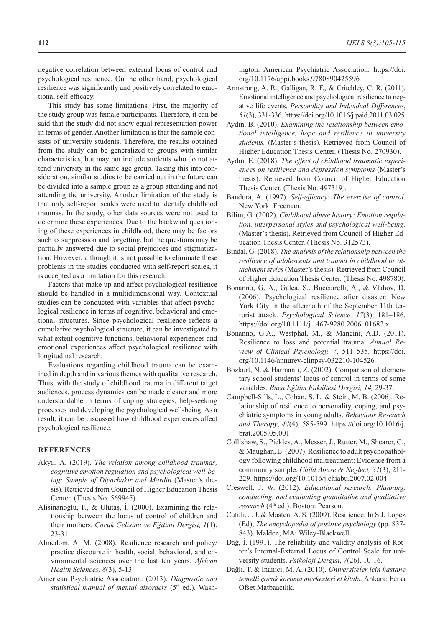negative correlation between external locus of control and psychological resilience. On the other hand, psychological resilience was significantly and positively correlated to emotional self-efficacy.

This study has some limitations. First, the majority of the study group was female participants. Therefore, it can be said that the study did not show equal representation power in terms of gender. Another limitation is that the sample consists of university students. Therefore, the results obtained from the study can be generalized to groups with similar characteristics, but may not include students who do not attend university in the same age group. Taking this into consideration, similar studies to be carried out in the future can be divided into a sample group as a group attending and not attending the university. Another limitation of the study is that only self-report scales were used to identify childhood traumas. In the study, other data sources were not used to determine these experiences. Due to the backward questioning of these experiences in childhood, there may be factors such as suppression and forgetting, but the questions may be partially answered due to social prejudices and stigmatization. However, although it is not possible to eliminate these problems in the studies conducted with self-report scales, it is accepted as a limitation for this research.

Factors that make up and affect psychological resilience should be handled in a multidimensional way. Contextual studies can be conducted with variables that affect psychological resilience in terms of cognitive, behavioral and emotional structures. Since psychological resilience reflects a cumulative psychological structure, it can be investigated to what extent cognitive functions, behavioral experiences and emotional experiences affect psychological resilience with longitudinal research.

Evaluations regarding childhood trauma can be examined in depth and in various themes with qualitative research. Thus, with the study of childhood trauma in different target audiences, process dynamics can be made clearer and more understandable in terms of coping strategies, help-seeking processes and developing the psychological well-being. As a result, it can be discussed how childhood experiences affect psychological resilience.

# **REFERENCES**

- Akyıl, A. (2019). *The relation among childhood traumas, cognitive emotion regulation and psychological well-being: Sample of Diyarbakır and Mardin* (Master's thesis). Retrieved from Council of Higher Education Thesis Center. (Thesis No. 569945).
- Alisinanoğlu, F., & Ulutaş, İ. (2000). Examining the relationship between the locus of control of children and their mothers. *Çocuk Gelişimi ve Eğitimi Dergisi, 1*(1), 23-31.
- Almedom, A. M. (2008). Resilience research and policy/ practice discourse in health, social, behavioral, and environmental sciences over the last ten years. *African Health Sciences, 8*(3), 5-13.
- American Psychiatric Association. (2013). *Diagnostic and*  statistical manual of mental disorders (5<sup>th</sup> ed.). Wash-

ington: American Psychiatric Association. https://doi. org/10.1176/appi.books.9780890425596

- Armstrong, A. R., Galligan, R. F., & Critchley, C. R. (2011). Emotional intelligence and psychological resilience to negative life events. *Personality and Individual Differences*, *51*(3), 331-336. https://doi.org/10.1016/j.paid.2011.03.025
- Aydın, B. (2010). *Examining the relationship between emotional intelligence, hope and resilience in university students.* (Master's thesis). Retrieved from Council of Higher Education Thesis Center. (Thesis No. 270930).
- Aydın, E. (2018). *The effect of childhood traumatic experiences on resilience and depression symptoms* (Master's thesis). Retrieved from Council of Higher Education Thesis Center. (Thesis No. 497319).
- Bandura, A. (1997). *Self-efficacy: The exercise of control*. New York: Freeman.
- Bilim, G. (2002). *Childhood abuse history: Emotion regulation, interpersonal styles and psychological well-being.* (Master's thesis). Retrieved from Council of Higher Education Thesis Center. (Thesis No. 312573).
- Bindal, G. (2018). *The analysis of the relationship between the resilience of adolescents and trauma in childhood or attachment styles* (Master's thesis). Retrieved from Council of Higher Education Thesis Center. (Thesis No. 498780).
- Bonanno, G. A., Galea, S., Bucciarelli, A., & Vlahov, D. (2006). Psychological resilience after disaster: New York City in the aftermath of the September 11th terrorist attack. *Psychological Science, 17*(3), 181–186. https://doi.org/10.1111/j.1467-9280.2006. 01682.x
- Bonanno, G.A., Westphal, M., & Mancini, A.D. (2011). Resilience to loss and potential trauma. *Annual Review of Clinical Psychology, 7*, 511–535. https://doi. org/10.1146/annurev-clinpsy-032210-104526
- Bozkurt, N. & Harmanlı, Z. (2002). Comparison of elementary school students' locus of control in terms of some variables. *Buca Eğitim Fakültesi Dergisi, 14,* 29-37.
- Campbell-Sills, L., Cohan, S. L. & Stein, M. B. (2006). Relationship of resilience to personality, coping, and psychiatric symptoms in young adults. *Behaviour Research and Therapy*, *44*(4), 585-599. https://doi.org/10.1016/j. brat.2005.05.001
- Collishaw, S., Pickles, A., Messer, J., Rutter, M., Shearer, C., & Maughan, B. (2007). Resilience to adult psychopathology following childhood maltreatment: Evidence from a community sample. *Child Abuse & Neglect, 31*(3), 211- 229. https://doi.org/10.1016/j.chiabu.2007.02.004
- Creswell, J. W. (2012). *Educational research: Planning, conducting, and evaluating quantitative and qualitative research* (4th ed.). Boston: Pearson.
- Cutuli, J. J. & Masten, A. S. (2009). Resilience. In S J. Lopez (Ed), *The encyclopedia of positive psychology* (pp. 837- 843). Malden, MA: Wiley-Blackwell.
- Dağ, İ. (1991). The reliability and validity analysis of Rotter's Internal-External Locus of Control Scale for university students. *Psikoloji Dergisi*, *7*(26), 10-16.
- Dağlı, T. & İnanıcı, M. A. (2010). *Üniversiteler için hastane temelli çocuk koruma merkezleri el kitabı*. Ankara: Fersa Ofset Matbaacılık.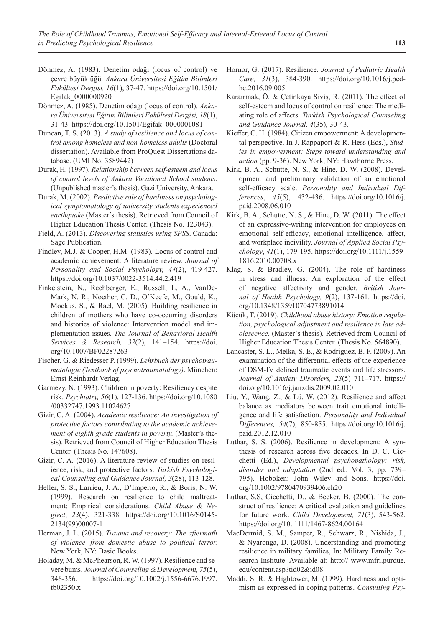- Dönmez, A. (1983). Denetim odağı (locus of control) ve çevre büyüklüğü. *Ankara Üniversitesi Eğitim Bilimleri Fakültesi Dergisi, 16*(1), 37-47. https://doi.org/10.1501/ Egifak\_0000000920
- Dönmez, A. (1985). Denetim odağı (locus of control). *Ankara Üniversitesi Eğitim Bilimleri Fakültesi Dergisi, 18*(1), 31-43. https://doi.org/10.1501/Egifak\_0000001081
- Duncan, T. S. (2013). *A study of resilience and locus of control among homeless and non-homeless adults* (Doctoral dissertation). Available from ProQuest Dissertations database. (UMI No. 3589442)
- Durak, H. (1997). *Relationship between self-esteem and locus of control levels of Ankara Vocational School students*. (Unpublished master's thesis). Gazi University, Ankara.
- Durak, M. (2002). *Predictive role of hardiness on psychological symptomatology of university students experienced earthquake* (Master's thesis). Retrieved from Council of Higher Education Thesis Center. (Thesis No. 123043).
- Field, A. (2013). *Discovering statistics using SPSS*. Canada: Sage Publication.
- Findley, M.J. & Cooper, H.M. (1983). Locus of control and academic achievement: A literature review. *Journal of Personality and Social Psychology, 44*(2), 419-427. https://doi.org/10.1037/0022-3514.44.2.419
- Finkelstein, N., Rechberger, E., Russell, L. A., VanDe-Mark, N. R., Noether, C. D., O'Keefe, M., Gould, K., Mockus, S., & Rael, M. (2005). Building resilience in children of mothers who have co-occurring disorders and histories of violence: Intervention model and implementation issues. *The Journal of Behavioral Health Services & Research, 32*(2), 141–154. https://doi. org/10.1007/BF02287263
- Fischer, G. & Riedesser P. (1999). *Lehrbuch der psychotraumatologie (Textbook of psychotraumatology)*. München: Ernst Reinhardt Verlag.
- Garmezy, N. (1993). Children in poverty: Resiliency despite risk. *Psychiatry, 56*(1), 127-136. https://doi.org/10.1080 /00332747.1993.11024627
- Gizir, C. A. (2004). *Academic resilience: An investigation of protective factors contributing to the academic achievement of eighth grade students in poverty.* (Master's thesis). Retrieved from Council of Higher Education Thesis Center. (Thesis No. 147608).
- Gizir, C. A. (2016). A literature review of studies on resilience, risk, and protective factors. *Turkish Psychological Counseling and Guidance Journal, 3*(28), 113-128.
- Heller, S. S., Larrieu, J. A., D'Imperio, R., & Boris, N. W. (1999). Research on resilience to child maltreatment: Empirical considerations. *Child Abuse & Neglect*, *23*(4), 321-338. https://doi.org/10.1016/S0145- 2134(99)00007-1
- Herman, J. L. (2015). *Trauma and recovery: The aftermath of violence--from domestic abuse to political terror.* New York, NY: Basic Books.
- Holaday, M. & McPhearson, R. W. (1997). Resilience and severe bums. *Journal of Counseling & Development, 75*(5), 346-356. https://doi.org/10.1002/j.1556-6676.1997. tb02350.x
- Hornor, G. (2017). Resilience. *Journal of Pediatric Health Care, 31*(3), 384-390. https://doi.org/10.1016/j.pedhc.2016.09.005
- Karaırmak, Ö. & Çetinkaya Siviş, R. (2011). The effect of self-esteem and locus of control on resilience: The mediating role of affects*. Turkish Psychological Counseling and Guidance Journal, 4*(35), 30-43.
- Kieffer, C. H. (1984). Citizen empowerment: A developmental perspective. In J. Rappaport & R. Hess (Eds.), *Studies in empowerment: Steps toward understanding and action* (pp. 9-36). New York, NY: Hawthorne Press.
- Kirk, B. A., Schutte, N. S., & Hine, D. W. (2008). Development and preliminary validation of an emotional self-efficacy scale. *Personality and Individual Differences*, *45*(5), 432-436. https://doi.org/10.1016/j. paid.2008.06.010
- Kirk, B. A., Schutte, N. S., & Hine, D. W. (2011). The effect of an expressive-writing intervention for employees on emotional self-efficacy, emotional intelligence, affect, and workplace incivility. *Journal of Applied Social Psychology*, *41*(1), 179-195. https://doi.org/10.1111/j.1559- 1816.2010.00708.x
- Klag, S. & Bradley, G. (2004). The role of hardiness in stress and illness: An exploration of the effect of negative affectivity and gender. *British Journal of Health Psychology, 9*(2), 137-161. https://doi. org/10.1348/135910704773891014
- Küçük, T. (2019). *Childhood abuse history: Emotion regulation, psychological adjustment and resilience in late adolescence*. (Master's thesis). Retrieved from Council of Higher Education Thesis Center. (Thesis No. 564890).
- Lancaster, S. L., Melka, S. E., & Rodriguez, B. F. (2009). An examination of the differential effects of the experience of DSM-IV defined traumatic events and life stressors. *Journal of Anxiety Disorders, 23*(5) 711–717. https:// doi.org/10.1016/j.janxdis.2009.02.010
- Liu, Y., Wang, Z., & Lü, W. (2012). Resilience and affect balance as mediators between trait emotional intelligence and life satisfaction. *Personality and Individual Differences, 54*(7), 850-855. https://doi.org/10.1016/j. paid.2012.12.010
- Luthar, S. S. (2006). Resilience in development: A synthesis of research across five decades. In D. C. Cicchetti (Ed.), *Developmental psychopathology: risk, disorder and adaptation* (2nd ed., Vol. 3, pp. 739– 795). Hoboken: John Wiley and Sons. https://doi. org/10.1002/9780470939406.ch20
- Luthar, S.S, Cicchetti, D., & Becker, B. (2000). The construct of resilience: A critical evaluation and guidelines for future work. *Child Development, 71*(3), 543-562. https://doi.org/10. 1111/1467-8624.00164
- MacDermid, S. M., Samper, R., Schwarz, R., Nishida, J., & Nyaronga, D. (2008). Understanding and promoting resilience in military families, In: Military Family Research Institute. Available at: http:// www.mfri.purdue. edu/content.asp?tid02&id08
- Maddi, S. R. & Hightower, M. (1999). Hardiness and optimism as expressed in coping patterns. *Consulting Psy-*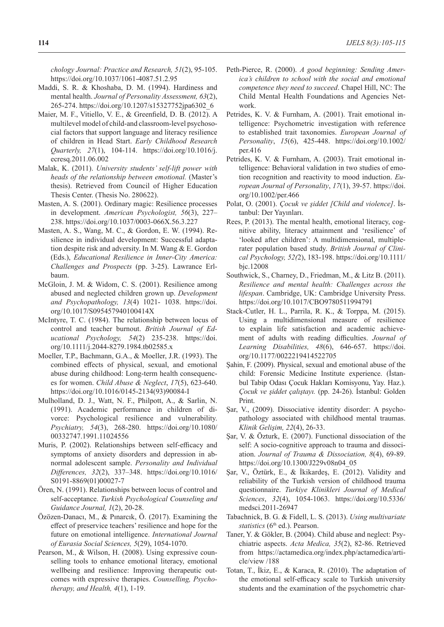*chology Journal: Practice and Research, 51*(2), 95-105. https://doi.org/10.1037/1061-4087.51.2.95

- Maddi, S. R. & Khoshaba, D. M. (1994). Hardiness and mental health. *Journal of Personality Assessment, 63*(2), 265-274. https://doi.org/10.1207/s15327752jpa6302\_6
- Maier, M. F., Vitiello, V. E., & Greenfield, D. B. (2012). A multilevel model of child-and classroom-level psychosocial factors that support language and literacy resilience of children in Head Start. *Early Childhood Research Quarterly, 27*(1), 104-114. https://doi.org/10.1016/j. ecresq.2011.06.002
- Malak, K. (2011). *University students' self-lift power with heads of the relationship between emotional.* (Master's thesis). Retrieved from Council of Higher Education Thesis Center. (Thesis No. 280622).
- Masten, A. S. (2001). Ordinary magic: Resilience processes in development. *American Psychologist, 56*(3), 227– 238. https://doi.org/10.1037/0003-066X.56.3.227
- Masten, A. S., Wang, M. C., & Gordon, E. W. (1994). Resilience in individual development: Successful adaptation despite risk and adversity. In M. Wang & E. Gordon (Eds.), *Educational Resilience in Inner-City America: Challenges and Prospects* (pp. 3-25). Lawrance Erlbaum.
- McGloin, J. M. & Widom, C. S. (2001). Resilience among abused and neglected children grown up. *Development and Psychopathology, 13*(4) 1021- 1038. https://doi. org/10.1017/S095457940100414X
- McIntyre, T. C. (1984). The relationship between locus of control and teacher burnout. *British Journal of Educational Psychology, 54*(2) 235-238. https://doi. org/10.1111/j.2044-8279.1984.tb02585.x
- Moeller, T.P., Bachmann, G.A., & Moeller, J.R. (1993). The combined effects of physical, sexual, and emotional abuse during childhood: Long-term health consequences for women. *Child Abuse & Neglect*, *17*(5), 623-640. https://doi.org/10.1016/0145-2134(93)90084-I
- Mulholland, D. J., Watt, N. F., Philpott, A., & Sarlin, N. (1991). Academic performance in children of divorce: Psychological resilience and vulnerability. *Psychiatry, 54*(3), 268-280. https://doi.org/10.1080/ 00332747.1991.11024556
- Muris, P. (2002). Relationships between self-efficacy and symptoms of anxiety disorders and depression in abnormal adolescent sample. *Personality and Individual Differences, 32*(2), 337–348. https://doi.org/10.1016/ S0191-8869(01)00027-7
- Ören, N. (1991). Relationships between locus of control and self-acceptance. *Turkish Psychological Counseling and Guidance Journal, 1*(2), 20-28.
- Özözen-Danacı, M., & Pınarcık, Ö. (2017). Examining the effect of preservice teachers' resilience and hope for the future on emotional intelligence. *International Journal of Eurasia Social Sciences, 5*(29), 1054-1070.
- Pearson, M., & Wilson, H. (2008). Using expressive counselling tools to enhance emotional literacy, emotional wellbeing and resilience: Improving therapeutic outcomes with expressive therapies. *Counselling, Psychotherapy, and Health, 4*(1), 1-19.
- Peth-Pierce, R. (2000). *A good beginning: Sending America's children to school with the social and emotional competence they need to succeed*. Chapel Hill, NC: The Child Mental Health Foundations and Agencies Network.
- Petrides, K. V. & Furnham, A. (2001). Trait emotional intelligence: Psychometric investigation with reference to established trait taxonomies. *European Journal of Personality*, *15*(6), 425-448. https://doi.org/10.1002/ per.416
- Petrides, K. V. & Furnham, A. (2003). Trait emotional intelligence: Behavioral validation in two studies of emotion recognition and reactivity to mood induction. *European Journal of Personality*, *17*(1), 39-57. https://doi. org/10.1002/per.466
- Polat, O. (2001). *Çocuk ve şiddet [Child and violence]*. İstanbul: Der Yayınları.
- Rees, P. (2013). The mental health, emotional literacy, cognitive ability, literacy attainment and 'resilience' of 'looked after children': A multidimensional, multiple‐ rater population based study. *British Journal of Clinical Psychology, 52(*2), 183-198. https://doi.org/10.1111/ bjc.12008
- Southwick, S., Charney, D., Friedman, M., & Litz B. (2011). *Resilience and mental health: Challenges across the lifespan*. Cambridge, UK: Cambridge University Press. https://doi.org/10.1017/CBO9780511994791
- Stack-Cutler, H. L., Parrila, R. K., & Torppa, M. (2015). Using a multidimensional measure of resilience to explain life satisfaction and academic achievement of adults with reading difficulties. *Journal of Learning Disabilities, 48*(6), 646-657. https://doi. org/10.1177/0022219414522705
- Şahin, F. (2009). Physical, sexual and emotional abuse of the child: Forensic Medicine Institute experience. (İstanbul Tabip Odası Çocuk Hakları Komisyonu, Yay. Haz.). *Çocuk ve şiddet çalıştayı.* (pp. 24-26). İstanbul: Golden Print.
- Şar, V., (2009). Dissociative identity disorder: A psychopathology associated with childhood mental traumas. *Klinik Gelişim, 22*(4), 26-33.
- Şar, V. & Özturk, E. (2007). Functional dissociation of the self: A socio-cognitive approach to trauma and dissociation. *Journal of Trauma & Dissociation, 8*(4), 69-89. https://doi.org/10.1300/J229v08n04\_05
- Şar, V., Öztürk, E., & İkikardeş, E. (2012). Validity and reliability of the Turkish version of childhood trauma questionnaire. *Turkiye Klinikleri Journal of Medical Sciences*, *32*(4), 1054-1063. https://doi.org/10.5336/ medsci.2011-26947
- Tabachnick, B. G. & Fidell, L. S. (2013). *Using multivariate statistics* (6<sup>th</sup> ed.). Pearson.
- Taner, Y. & Gökler, B. (2004). Child abuse and neglect: Psychiatric aspects. *Acta Medica, 35*(2), 82-86. Retrieved from https://actamedica.org/index.php/actamedica/article/view /188
- Totan, T., İkiz, E., & Karaca, R. (2010). The adaptation of the emotional self-efficacy scale to Turkish university students and the examination of the psychometric char-